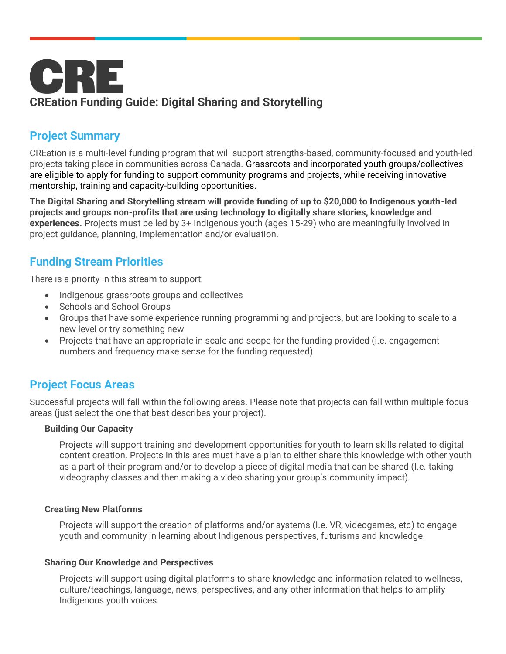

# **Project Summary**

CREation is a multi-level funding program that will support strengths-based, community-focused and youth-led projects taking place in communities across Canada. Grassroots and incorporated youth groups/collectives are eligible to apply for funding to support community programs and projects, while receiving innovative mentorship, training and capacity-building opportunities.

**The Digital Sharing and Storytelling stream will provide funding of up to \$20,000 to Indigenous youth-led projects and groups non-profits that are using technology to digitally share stories, knowledge and experiences.** Projects must be led by 3+ Indigenous youth (ages 15-29) who are meaningfully involved in project guidance, planning, implementation and/or evaluation.

# **Funding Stream Priorities**

There is a priority in this stream to support:

- Indigenous grassroots groups and collectives
- Schools and School Groups
- Groups that have some experience running programming and projects, but are looking to scale to a new level or try something new
- Projects that have an appropriate in scale and scope for the funding provided (i.e. engagement numbers and frequency make sense for the funding requested)

# **Project Focus Areas**

Successful projects will fall within the following areas. Please note that projects can fall within multiple focus areas (just select the one that best describes your project).

#### **Building Our Capacity**

Projects will support training and development opportunities for youth to learn skills related to digital content creation. Projects in this area must have a plan to either share this knowledge with other youth as a part of their program and/or to develop a piece of digital media that can be shared (I.e. taking videography classes and then making a video sharing your group's community impact).

#### **Creating New Platforms**

Projects will support the creation of platforms and/or systems (I.e. VR, videogames, etc) to engage youth and community in learning about Indigenous perspectives, futurisms and knowledge.

#### **Sharing Our Knowledge and Perspectives**

Projects will support using digital platforms to share knowledge and information related to wellness, culture/teachings, language, news, perspectives, and any other information that helps to amplify Indigenous youth voices.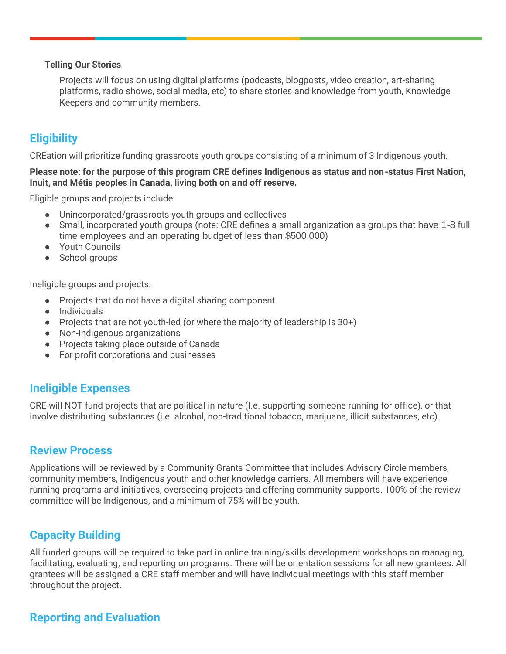#### **Telling Our Stories**

Projects will focus on using digital platforms (podcasts, blogposts, video creation, art-sharing platforms, radio shows, social media, etc) to share stories and knowledge from youth, Knowledge Keepers and community members.

## **Eligibility**

CREation will prioritize funding grassroots youth groups consisting of a minimum of 3 Indigenous youth.

#### **Please note: for the purpose of this program CRE defines Indigenous as status and non-status First Nation, Inuit, and Métis peoples in Canada, living both on and off reserve.**

Eligible groups and projects include:

- Unincorporated/grassroots youth groups and collectives
- Small, incorporated youth groups (note: CRE defines a small organization as groups that have 1-8 full time employees and an operating budget of less than \$500,000)
- Youth Councils
- School groups

Ineligible groups and projects:

- Projects that do not have a digital sharing component
- Individuals
- Projects that are not youth-led (or where the majority of leadership is 30+)
- Non-Indigenous organizations
- Projects taking place outside of Canada
- For profit corporations and businesses

### **Ineligible Expenses**

CRE will NOT fund projects that are political in nature (I.e. supporting someone running for office), or that involve distributing substances (i.e. alcohol, non-traditional tobacco, marijuana, illicit substances, etc).

### **Review Process**

Applications will be reviewed by a Community Grants Committee that includes Advisory Circle members, community members, Indigenous youth and other knowledge carriers. All members will have experience running programs and initiatives, overseeing projects and offering community supports. 100% of the review committee will be Indigenous, and a minimum of 75% will be youth.

## **Capacity Building**

All funded groups will be required to take part in online training/skills development workshops on managing, facilitating, evaluating, and reporting on programs. There will be orientation sessions for all new grantees. All grantees will be assigned a CRE staff member and will have individual meetings with this staff member throughout the project.

## **Reporting and Evaluation**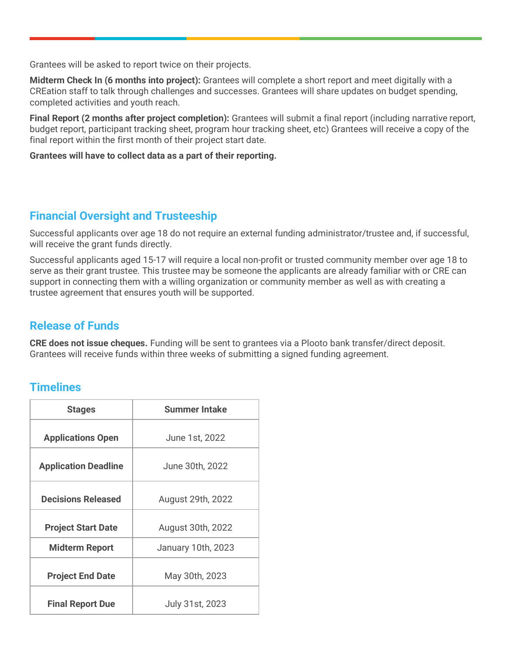Grantees will be asked to report twice on their projects.

**Midterm Check In (6 months into project):** Grantees will complete a short report and meet digitally with a CREation staff to talk through challenges and successes. Grantees will share updates on budget spending, completed activities and youth reach.

**Final Report (2 months after project completion):** Grantees will submit a final report (including narrative report, budget report, participant tracking sheet, program hour tracking sheet, etc) Grantees will receive a copy of the final report within the first month of their project start date.

#### **Grantees will have to collect data as a part of their reporting.**

### **Financial Oversight and Trusteeship**

Successful applicants over age 18 do not require an external funding administrator/trustee and, if successful, will receive the grant funds directly.

Successful applicants aged 15-17 will require a local non-profit or trusted community member over age 18 to serve as their grant trustee. This trustee may be someone the applicants are already familiar with or CRE can support in connecting them with a willing organization or community member as well as with creating a trustee agreement that ensures youth will be supported.

### **Release of Funds**

**CRE does not issue cheques.** Funding will be sent to grantees via a Plooto bank transfer/direct deposit. Grantees will receive funds within three weeks of submitting a signed funding agreement.

## **Timelines**

| <b>Stages</b>               | <b>Summer Intake</b> |
|-----------------------------|----------------------|
| <b>Applications Open</b>    | June 1st, 2022       |
| <b>Application Deadline</b> | June 30th, 2022      |
| <b>Decisions Released</b>   | August 29th, 2022    |
| <b>Project Start Date</b>   | August 30th, 2022    |
| <b>Midterm Report</b>       | January 10th, 2023   |
| <b>Project End Date</b>     | May 30th, 2023       |
| <b>Final Report Due</b>     | July 31st, 2023      |